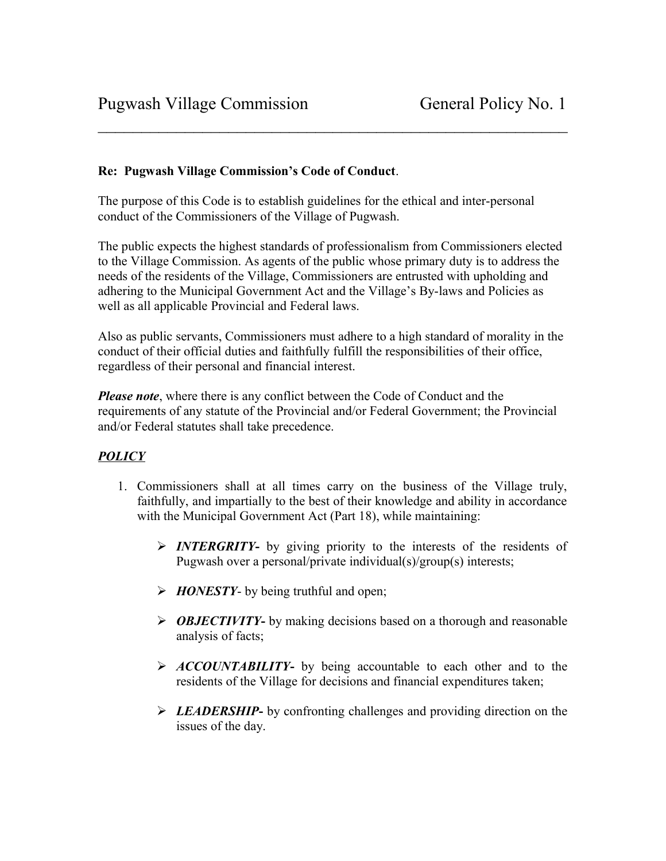## **Re: Pugwash Village Commission's Code of Conduct**.

The purpose of this Code is to establish guidelines for the ethical and inter-personal conduct of the Commissioners of the Village of Pugwash.

The public expects the highest standards of professionalism from Commissioners elected to the Village Commission. As agents of the public whose primary duty is to address the needs of the residents of the Village, Commissioners are entrusted with upholding and adhering to the Municipal Government Act and the Village's By-laws and Policies as well as all applicable Provincial and Federal laws.

 $\mathcal{L}_\text{max}$  , and the contract of the contract of the contract of the contract of the contract of the contract of the contract of the contract of the contract of the contract of the contract of the contract of the contr

Also as public servants, Commissioners must adhere to a high standard of morality in the conduct of their official duties and faithfully fulfill the responsibilities of their office, regardless of their personal and financial interest.

*Please note*, where there is any conflict between the Code of Conduct and the requirements of any statute of the Provincial and/or Federal Government; the Provincial and/or Federal statutes shall take precedence.

## *POLICY*

- 1. Commissioners shall at all times carry on the business of the Village truly, faithfully, and impartially to the best of their knowledge and ability in accordance with the Municipal Government Act (Part 18), while maintaining:
	- *INTERGRITY* by giving priority to the interests of the residents of Pugwash over a personal/private individual(s)/group(s) interests;
	- **FIONESTY-** by being truthful and open;
	- *OBJECTIVITY***-** by making decisions based on a thorough and reasonable analysis of facts;
	- **ACCOUNTABILITY** by being accountable to each other and to the residents of the Village for decisions and financial expenditures taken;
	- *LEADERSHIP***-** by confronting challenges and providing direction on the issues of the day.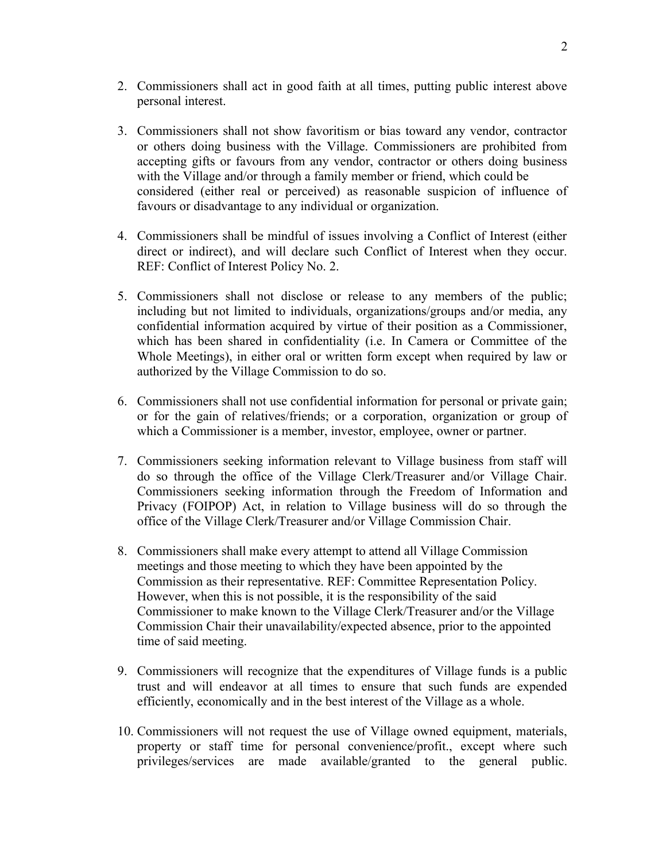- 2. Commissioners shall act in good faith at all times, putting public interest above personal interest.
- 3. Commissioners shall not show favoritism or bias toward any vendor, contractor or others doing business with the Village. Commissioners are prohibited from accepting gifts or favours from any vendor, contractor or others doing business with the Village and/or through a family member or friend, which could be considered (either real or perceived) as reasonable suspicion of influence of favours or disadvantage to any individual or organization.
- 4. Commissioners shall be mindful of issues involving a Conflict of Interest (either direct or indirect), and will declare such Conflict of Interest when they occur. REF: Conflict of Interest Policy No. 2.
- 5. Commissioners shall not disclose or release to any members of the public; including but not limited to individuals, organizations/groups and/or media, any confidential information acquired by virtue of their position as a Commissioner, which has been shared in confidentiality (i.e. In Camera or Committee of the Whole Meetings), in either oral or written form except when required by law or authorized by the Village Commission to do so.
- 6. Commissioners shall not use confidential information for personal or private gain; or for the gain of relatives/friends; or a corporation, organization or group of which a Commissioner is a member, investor, employee, owner or partner.
- 7. Commissioners seeking information relevant to Village business from staff will do so through the office of the Village Clerk/Treasurer and/or Village Chair. Commissioners seeking information through the Freedom of Information and Privacy (FOIPOP) Act, in relation to Village business will do so through the office of the Village Clerk/Treasurer and/or Village Commission Chair.
- 8. Commissioners shall make every attempt to attend all Village Commission meetings and those meeting to which they have been appointed by the Commission as their representative. REF: Committee Representation Policy. However, when this is not possible, it is the responsibility of the said Commissioner to make known to the Village Clerk/Treasurer and/or the Village Commission Chair their unavailability/expected absence, prior to the appointed time of said meeting.
- 9. Commissioners will recognize that the expenditures of Village funds is a public trust and will endeavor at all times to ensure that such funds are expended efficiently, economically and in the best interest of the Village as a whole.
- 10. Commissioners will not request the use of Village owned equipment, materials, property or staff time for personal convenience/profit., except where such privileges/services are made available/granted to the general public.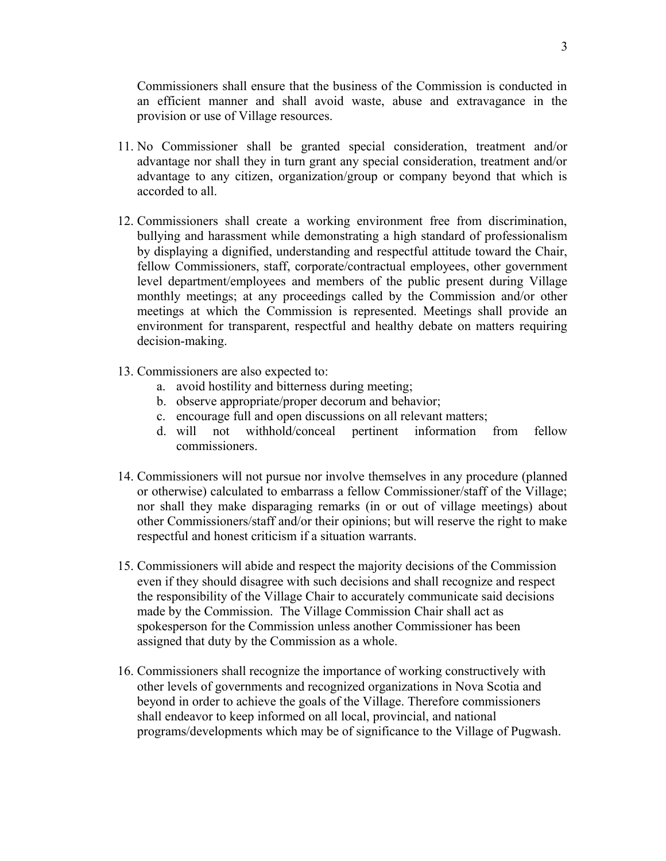Commissioners shall ensure that the business of the Commission is conducted in an efficient manner and shall avoid waste, abuse and extravagance in the provision or use of Village resources.

- 11. No Commissioner shall be granted special consideration, treatment and/or advantage nor shall they in turn grant any special consideration, treatment and/or advantage to any citizen, organization/group or company beyond that which is accorded to all.
- 12. Commissioners shall create a working environment free from discrimination, bullying and harassment while demonstrating a high standard of professionalism by displaying a dignified, understanding and respectful attitude toward the Chair, fellow Commissioners, staff, corporate/contractual employees, other government level department/employees and members of the public present during Village monthly meetings; at any proceedings called by the Commission and/or other meetings at which the Commission is represented. Meetings shall provide an environment for transparent, respectful and healthy debate on matters requiring decision-making.
- 13. Commissioners are also expected to:
	- a. avoid hostility and bitterness during meeting;
	- b. observe appropriate/proper decorum and behavior;
	- c. encourage full and open discussions on all relevant matters;
	- d. will not withhold/conceal pertinent information from fellow commissioners.
- 14. Commissioners will not pursue nor involve themselves in any procedure (planned or otherwise) calculated to embarrass a fellow Commissioner/staff of the Village; nor shall they make disparaging remarks (in or out of village meetings) about other Commissioners/staff and/or their opinions; but will reserve the right to make respectful and honest criticism if a situation warrants.
- 15. Commissioners will abide and respect the majority decisions of the Commission even if they should disagree with such decisions and shall recognize and respect the responsibility of the Village Chair to accurately communicate said decisions made by the Commission. The Village Commission Chair shall act as spokesperson for the Commission unless another Commissioner has been assigned that duty by the Commission as a whole.
- 16. Commissioners shall recognize the importance of working constructively with other levels of governments and recognized organizations in Nova Scotia and beyond in order to achieve the goals of the Village. Therefore commissioners shall endeavor to keep informed on all local, provincial, and national programs/developments which may be of significance to the Village of Pugwash.